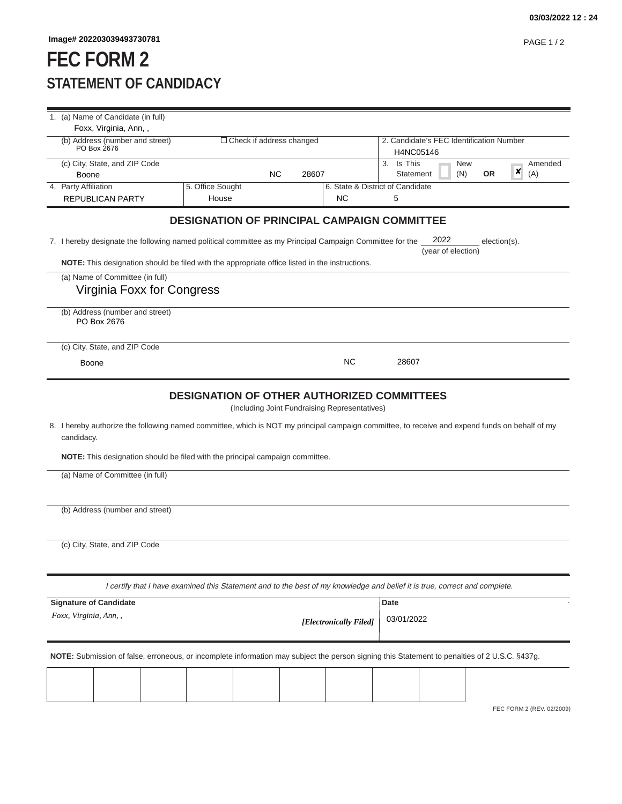## **FEC FORM 2 STATEMENT OF CANDIDACY**

| Foxx, Virginia, Ann,,<br>(b) Address (number and street)                                                                                                                                                                                                                         | $\Box$ Check if address changed                    |           |       |                                               | 2. Candidate's FEC Identification Number          |                            |                  |              |                           |
|----------------------------------------------------------------------------------------------------------------------------------------------------------------------------------------------------------------------------------------------------------------------------------|----------------------------------------------------|-----------|-------|-----------------------------------------------|---------------------------------------------------|----------------------------|------------------|--------------|---------------------------|
| PO Box 2676                                                                                                                                                                                                                                                                      |                                                    |           |       |                                               | H4NC05146                                         |                            |                  |              |                           |
| (c) City, State, and ZIP Code                                                                                                                                                                                                                                                    |                                                    |           |       |                                               | Is This<br>3.                                     |                            | <b>New</b>       |              | Amended                   |
| Boone                                                                                                                                                                                                                                                                            |                                                    | <b>NC</b> | 28607 |                                               | Statement                                         |                            | (N)<br><b>OR</b> | ×            | (A)                       |
| 4. Party Affiliation                                                                                                                                                                                                                                                             | 5. Office Sought                                   |           |       | 6. State & District of Candidate              |                                                   |                            |                  |              |                           |
| <b>REPUBLICAN PARTY</b>                                                                                                                                                                                                                                                          | House                                              |           |       | <b>NC</b>                                     | 5                                                 |                            |                  |              |                           |
|                                                                                                                                                                                                                                                                                  | <b>DESIGNATION OF PRINCIPAL CAMPAIGN COMMITTEE</b> |           |       |                                               |                                                   |                            |                  |              |                           |
| 7. I hereby designate the following named political committee as my Principal Campaign Committee for the                                                                                                                                                                         |                                                    |           |       |                                               |                                                   | 2022<br>(year of election) |                  | election(s). |                           |
| NOTE: This designation should be filed with the appropriate office listed in the instructions.                                                                                                                                                                                   |                                                    |           |       |                                               |                                                   |                            |                  |              |                           |
| (a) Name of Committee (in full)                                                                                                                                                                                                                                                  |                                                    |           |       |                                               |                                                   |                            |                  |              |                           |
| Virginia Foxx for Congress                                                                                                                                                                                                                                                       |                                                    |           |       |                                               |                                                   |                            |                  |              |                           |
| (b) Address (number and street)<br>PO Box 2676                                                                                                                                                                                                                                   |                                                    |           |       |                                               |                                                   |                            |                  |              |                           |
| (c) City, State, and ZIP Code                                                                                                                                                                                                                                                    |                                                    |           |       |                                               |                                                   |                            |                  |              |                           |
| Boone                                                                                                                                                                                                                                                                            |                                                    |           |       | <b>NC</b>                                     | 28607                                             |                            |                  |              |                           |
|                                                                                                                                                                                                                                                                                  |                                                    |           |       |                                               |                                                   |                            |                  |              |                           |
|                                                                                                                                                                                                                                                                                  |                                                    |           |       | (Including Joint Fundraising Representatives) | <b>DESIGNATION OF OTHER AUTHORIZED COMMITTEES</b> |                            |                  |              |                           |
| 8. I hereby authorize the following named committee, which is NOT my principal campaign committee, to receive and expend funds on behalf of my<br>candidacy.<br>NOTE: This designation should be filed with the principal campaign committee.<br>(a) Name of Committee (in full) |                                                    |           |       |                                               |                                                   |                            |                  |              |                           |
| (b) Address (number and street)                                                                                                                                                                                                                                                  |                                                    |           |       |                                               |                                                   |                            |                  |              |                           |
|                                                                                                                                                                                                                                                                                  |                                                    |           |       |                                               |                                                   |                            |                  |              |                           |
| (c) City, State, and ZIP Code                                                                                                                                                                                                                                                    |                                                    |           |       |                                               |                                                   |                            |                  |              |                           |
| I certify that I have examined this Statement and to the best of my knowledge and belief it is true, correct and complete.                                                                                                                                                       |                                                    |           |       |                                               |                                                   |                            |                  |              |                           |
| <b>Signature of Candidate</b>                                                                                                                                                                                                                                                    |                                                    |           |       |                                               | Date                                              |                            |                  |              |                           |
| Foxx, Virginia, Ann, ,                                                                                                                                                                                                                                                           |                                                    |           |       | [Electronically Filed]                        | 03/01/2022                                        |                            |                  |              |                           |
| NOTE: Submission of false, erroneous, or incomplete information may subject the person signing this Statement to penalties of 2 U.S.C. §437g.                                                                                                                                    |                                                    |           |       |                                               |                                                   |                            |                  |              |                           |
|                                                                                                                                                                                                                                                                                  |                                                    |           |       |                                               |                                                   |                            |                  |              |                           |
|                                                                                                                                                                                                                                                                                  |                                                    |           |       |                                               |                                                   |                            |                  |              | FEC FORM 2 (REV. 02/2009) |